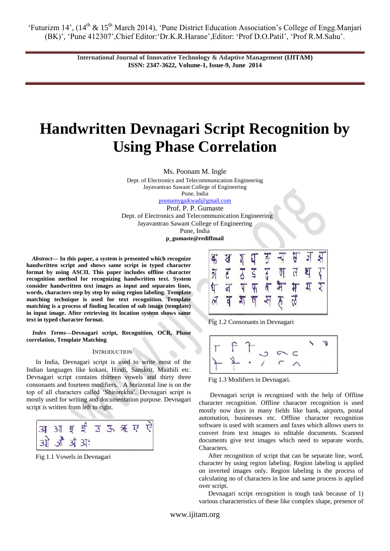> **International Journal of Innovative Technology & Adaptive Management (IJITAM) ISSN: 2347-3622, Volume-1, Issue-9, June 2014**

# **Handwritten Devnagari Script Recognition by Using Phase Correlation**

Ms. Poonam M. Ingle

Dept. of Electronics and Telecommunication Engineering Jayavantrao Sawant College of Engineering Pune, India [poonamygaikwad@gmail.com](mailto:poonamygaikwad@gmail.com) Prof. P. P. Gumaste Dept. of Electronics and Telecommunication Engineering Jayavantrao Sawant College of Engineering Pune, India

**p\_gumaste@rediffmail**

*Abstract***— In this paper, a system is presented which recognize handwritten script and shows same script in typed character format by using ASCII. This paper includes offline character recognition method for recognizing handwritten text. System consider handwritten text images as input and separates lines, words, characters step by step by using region labeling. Template matching technique is used for text recognition. Template matching is a process of finding location of sub image (template) in input image. After retrieving its location system shows same text in typed character format.** 

*Index Terms***—Devnagari script, Recognition, OCR, Phase correlation, Template Matching**

### **INTRODUCTION**

In India, Devnagari script is used to write most of the Indian languages like kokani, Hindi, Sanskrit, Maithili etc. Devnagari script contains thirteen vowels and thirty three consonants and fourteen modifiers. . A horizontal line is on the top of all characters called "Shirorekha". Devnagari script is mostly used for writing and documentation purpose. Devnagari script is written from left to right.



Fig 1.1 Vowels in Devnagari



Fig 1.2 Consonants in Devnagari



Fig 1.3 Modifiers in Devnagari.

Devnagari script is recognized with the help of Offline character recognition. Offline character recognition is used mostly now days in many fields like bank, airports, postal automation, businesses etc. Offline character recognition software is used with scanners and faxes which allows users to convert from text images to editable documents. Scanned documents give text images which need to separate words, Characters.

After recognition of script that can be separate line, word, character by using region labeling. Region labeling is applied on inverted images only. Region labeling is the process of calculating no of characters in line and same process is applied over script.

Devnagari script recognition is tough task because of 1) various characteristics of these like complex shape, presence of

www.ijitam.org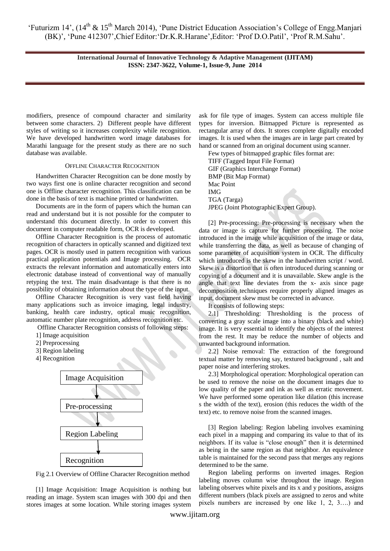> **International Journal of Innovative Technology & Adaptive Management (IJITAM) ISSN: 2347-3622, Volume-1, Issue-9, June 2014**

modifiers, presence of compound character and similarity between some characters. 2) Different people have different styles of writing so it increases complexity while recognition. We have developed handwritten word image databases for Marathi language for the present study as there are no such database was available.

#### OFFLINE CHARACTER RECOGNITION

Handwritten Character Recognition can be done mostly by two ways first one is online character recognition and second one is Offline character recognition. This classification can be done in the basis of text is machine printed or handwritten.

Documents are in the form of papers which the human can read and understand but it is not possible for the computer to understand this document directly. In order to convert this document in computer readable form, OCR is developed.

Offline Character Recognition is the process of automatic recognition of characters in optically scanned and digitized text pages. OCR is mostly used in pattern recognition with various practical application potentials and Image processing. OCR extracts the relevant information and automatically enters into electronic database instead of conventional way of manually retyping the text. The main disadvantage is that there is no possibility of obtaining information about the type of the input.

Offline Character Recognition is very vast field having many applications such as invoice imaging, legal industry, banking, health care industry, optical music recognition, automatic number plate recognition, address recognition etc.

Offline Character Recognition consists of following steps:

- 1] Image acquisition
- 2] Preprocessing
- 3] Region labeling
- 4] Recognition



Fig 2.1 Overview of Offline Character Recognition method

[1] Image Acquisition: Image Acquisition is nothing but reading an image. System scan images with 300 dpi and then stores images at some location. While storing images system

ask for file type of images. System can access multiple file types for inversion. Bitmapped Picture is represented as rectangular array of dots. It stores complete digitally encoded images. It is used when the images are in large part created by hand or scanned from an original document using scanner.

Few types of bitmapped graphic files format are: TIFF (Tagged Input File Format) GIF (Graphics Interchange Format) BMP (Bit Map Format) Mac Point IMG TGA (Targa) JPEG (Joint Photographic Expert Group).

[2] Pre-processing: Pre-processing is necessary when the data or image is capture for further processing. The noise introduced in the image while acquisition of the image or data, while transferring the data, as well as because of changing of some parameter of acquisition system in OCR. The difficulty which introduced is the skew in the handwritten script / word. Skew is a distortion that is often introduced during scanning or copying of a document and it is unavailable. Skew angle is the angle that text line deviates from the x- axis since page decomposition techniques require properly aligned images as input, document skew must be corrected in advance.

It consists of following steps:

2.1] Thresholding: Thresholding is the process of converting a gray scale image into a binary (black and white) image. It is very essential to identify the objects of the interest from the rest. It may be reduce the number of objects and unwanted background information.

2.2] Noise removal: The extraction of the foreground textual matter by removing say, textured background , salt and paper noise and interfering strokes.

2.3] Morphological operation: Morphological operation can be used to remove the noise on the document images due to low quality of the paper and ink as well as erratic movement. We have performed some operation like dilation (this increase s the width of the text), erosion (this reduces the width of the text) etc. to remove noise from the scanned images.

[3] Region labeling: Region labeling involves examining each pixel in a mapping and comparing its value to that of its neighbors. If its value is "close enough" then it is determined as being in the same region as that neighbor. An equivalence table is maintained for the second pass that merges any regions determined to be the same.

Region labeling performs on inverted images. Region labeling moves column wise throughout the image. Region labeling observes white pixels and its x and y positions, assigns different numbers (black pixels are assigned to zeros and white pixels numbers are increased by one like 1, 2, 3….) and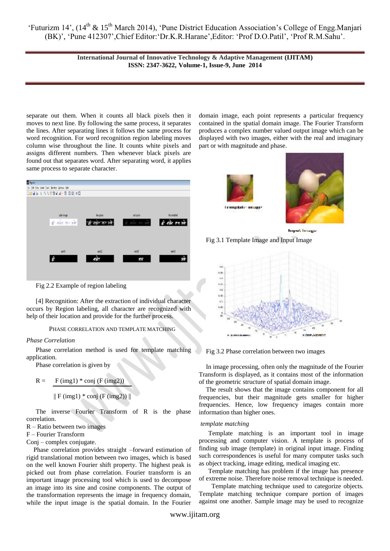> **International Journal of Innovative Technology & Adaptive Management (IJITAM) ISSN: 2347-3622, Volume-1, Issue-9, June 2014**

separate out them. When it counts all black pixels then it moves to next line. By following the same process, it separates the lines. After separating lines it follows the same process for word recognition. For word recognition region labeling moves column wise throughout the line. It counts white pixels and assigns different numbers. Then whenever black pixels are found out that separates word. After separating word, it applies same process to separate character.



Fig 2.2 Example of region labeling

[4] Recognition: After the extraction of individual character occurs by Region labeling, all character are recognized with help of their location and provide for the further process.

# PHASE CORRELATION AND TEMPLATE MATCHING

### *Phase Correlation*

Phase correlation method is used for template matching application.

Phase correlation is given by

$$
R = F (img1) * conj (F (img2))
$$

 $\parallel$  F (img1)  $*$  conj (F (img2))  $\parallel$ 

The inverse Fourier Transform of R is the phase correlation.

## R – Ratio between two images

F – Fourier Transform

Conj – complex conjugate.

Phase correlation provides straight –forward estimation of rigid translational motion between two images, which is based on the well known Fourier shift property. The highest peak is picked out from phase correlation. Fourier transform is an important image processing tool which is used to decompose an image into its sine and cosine components. The output of the transformation represents the image in frequency domain, while the input image is the spatial domain. In the Fourier domain image, each point represents a particular frequency contained in the spatial domain image. The Fourier Transform produces a complex number valued output image which can be displayed with two images, either with the real and imaginary part or with magnitude and phase.





**Imput Image** 

Fig 3.1 Template Image and Input Image



Fig 3.2 Phase correlation between two images

In image processing, often only the magnitude of the Fourier Transform is displayed, as it contains most of the information of the geometric structure of spatial domain image.

The result shows that the image contains component for all frequencies, but their magnitude gets smaller for higher frequencies. Hence, low frequency images contain more information than higher ones.

# *template matching*

Template matching is an important tool in image processing and computer vision. A template is process of finding sub image (template) in original input image. Finding such correspondences is useful for many computer tasks such as object tracking, image editing, medical imaging etc.

Template matching has problem if the image has presence of extreme noise. Therefore noise removal technique is needed.

 Template matching technique used to categorize objects. Template matching technique compare portion of images against one another. Sample image may be used to recognize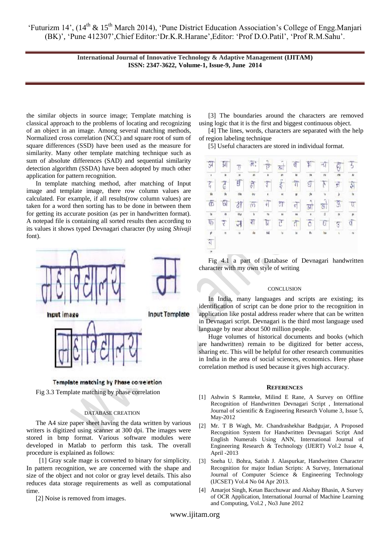> **International Journal of Innovative Technology & Adaptive Management (IJITAM) ISSN: 2347-3622, Volume-1, Issue-9, June 2014**

the similar objects in source image; Template matching is classical approach to the problems of locating and recognizing of an object in an image. Among several matching methods, Normalized cross correlation (NCC) and square root of sum of square differences (SSD) have been used as the measure for similarity. Many other template matching technique such as sum of absolute differences (SAD) and sequential similarity detection algorithm (SSDA) have been adopted by much other application for pattern recognition.

In template matching method, after matching of Input image and template image, there row column values are calculated. For example, if all results(row column values) are taken for a word then sorting has to be done in between them for getting its accurate position (as per in handwritten format). A notepad file is containing all sorted results then according to its values it shows typed Devnagari character (by using *Shivaji* font).





Fig 3.3 Template matching by phase correlation

### DATABASE CREATION

The A4 size paper sheet having the data written by various writers is digitized using scanner at 300 dpi. The images were stored in bmp format. Various software modules were developed in Matlab to perform this task. The overall procedure is explained as follows:

 [1] Gray scale mage is converted to binary for simplicity. In pattern recognition, we are concerned with the shape and size of the object and not color or gray level details. This also reduces data storage requirements as well as computational time.

[2] Noise is removed from images.

[3] The boundaries around the characters are removed using logic that it is the first and biggest continuous object.

[4] The lines, words, characters are separated with the help of region labeling technique

[5] Useful characters are stored in individual format.

| $\mathcal{F}$       |              | Ţ              | $\mathfrak{R}^*$       | $\frac{1}{\sqrt{2}}$   | स्रो           | $\sigma$            | $^{\mathrm{4}}$          | ন্দ                     |                |              |
|---------------------|--------------|----------------|------------------------|------------------------|----------------|---------------------|--------------------------|-------------------------|----------------|--------------|
| ø                   | ×            | (H             | n                      | ä                      | m              | ü                   | th.                      | m                       | œ              | n            |
| $\overline{\zeta}$  | 7            | $\mathfrak{g}$ | 罚                      | t                      | $5 - 5$        | $\overline{\eta}$   | T                        | $\mathcal{T}$           |                | 弃            |
| M                   | á,           | dia            |                        | ì,                     | ù              | y                   |                          | ü                       |                | N            |
| $\overline{\oplus}$ | ū            | 計              | $\tilde{\mathfrak{m}}$ | $\left  \cdot \right $ | $\pi$          | $\overline{\sigma}$ | $\frac{1}{31}$           | $\frac{1}{\sqrt{8}}$    | $-65$          | $\mathbb{Q}$ |
|                     | ih.          | ilişi          | Ŵ.                     | ī,                     | u              | si.                 | $\overline{\phantom{a}}$ | $\overline{\mathbb{1}}$ | $\overline{u}$ | $_{\mu}$     |
| $\frac{9}{4}$       | ₹            | ā              | $\frac{1}{2}$          | N                      | $\overline{c}$ | $\overline{0}$      | $\overline{\delta}$      | $\overline{0}$          | Ţ              | đ            |
|                     | $\mathbf{H}$ | ü              | da                     | 64                     | $\mathbf{u}$   | u                   | k.                       | Íш                      | V.             | $\sim$       |
| $\star$ $  \sigma$  |              |                |                        |                        |                |                     |                          |                         |                |              |
| $\mathcal{P}$       |              |                |                        |                        |                |                     |                          |                         |                |              |

Fig 4.1 a part of Database of Devnagari handwritten character with my own style of writing

## **CONCLUSION**

In India, many languages and scripts are existing; its identification of script can be done prior to the recognition in application like postal address reader where that can be written in Devnagari script. Devnagari is the third most language used language by near about 500 million people.

Huge volumes of historical documents and books (which are handwritten) remain to be digitized for better access, sharing etc. This will be helpful for other research communities in India in the area of social sciences, economics. Here phase correlation method is used because it gives high accuracy.

#### **REFERENCES**

- [1] Ashwin S Ramteke, Milind E Rane, A Survey on Offline Recognition of Handwritten Devnagari Script , International Journal of scientific & Engineering Research Volume 3, Issue 5, May-2012
- [2] Mr. T B Wagh, Mr. Chandrashekhar Badgujar, A Proposed Recognition System for Handwritten Devnagari Script And English Numerals Using ANN, International Journal of Engineering Research & Technology (IJERT) Vol.2 Issue 4, April -2013
- [3] Sneha U. Bohra, Satish J. Alaspurkar, Handwritten Character Recognition for major Indian Scripts: A Survey, International Journal of Computer Science & Engineering Technology (IJCSET) Vol.4 No 04 Apr 2013.
- [4] Amarjot Singh, Ketan Bacchuwar and Akshay Bhasin, A Survey of OCR Application, International Journal of Machine Learning and Computing, Vol.2 , No3 June 2012

www.ijitam.org